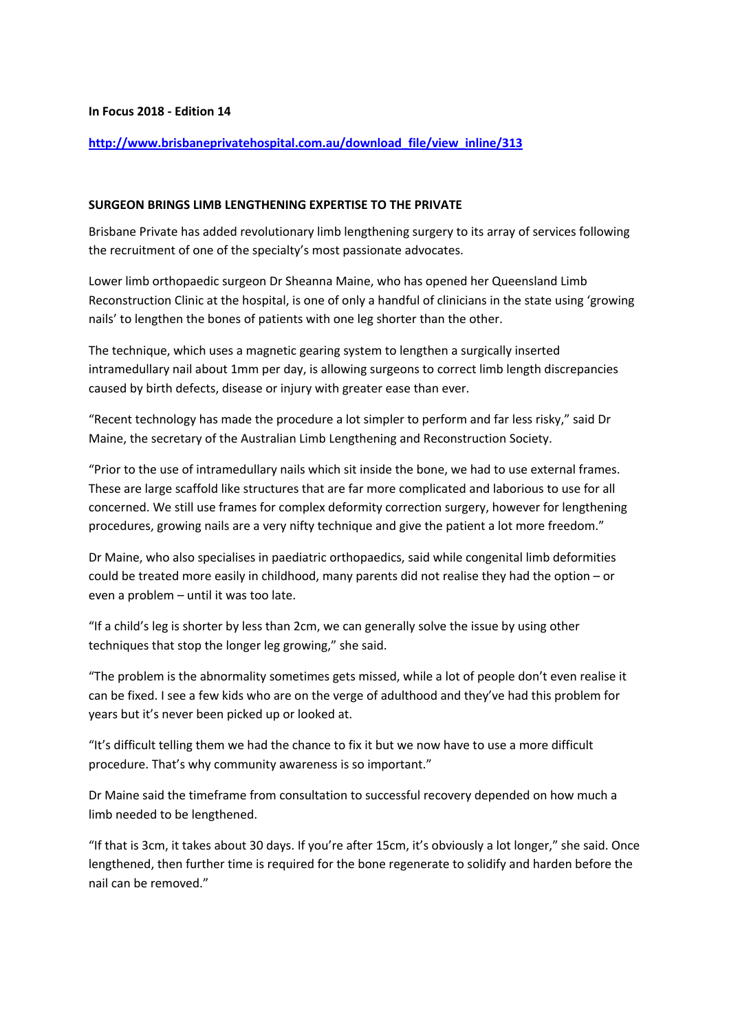## **In Focus 2018 - Edition 14**

## **http://www.brisbaneprivatehospital.com.au/download\_file/view\_inline/313**

## **SURGEON BRINGS LIMB LENGTHENING EXPERTISE TO THE PRIVATE**

Brisbane Private has added revolutionary limb lengthening surgery to its array of services following the recruitment of one of the specialty's most passionate advocates.

Lower limb orthopaedic surgeon Dr Sheanna Maine, who has opened her Queensland Limb Reconstruction Clinic at the hospital, is one of only a handful of clinicians in the state using 'growing nails' to lengthen the bones of patients with one leg shorter than the other.

The technique, which uses a magnetic gearing system to lengthen a surgically inserted intramedullary nail about 1mm per day, is allowing surgeons to correct limb length discrepancies caused by birth defects, disease or injury with greater ease than ever.

"Recent technology has made the procedure a lot simpler to perform and far less risky," said Dr Maine, the secretary of the Australian Limb Lengthening and Reconstruction Society.

"Prior to the use of intramedullary nails which sit inside the bone, we had to use external frames. These are large scaffold like structures that are far more complicated and laborious to use for all concerned. We still use frames for complex deformity correction surgery, however for lengthening procedures, growing nails are a very nifty technique and give the patient a lot more freedom."

Dr Maine, who also specialises in paediatric orthopaedics, said while congenital limb deformities could be treated more easily in childhood, many parents did not realise they had the option – or even a problem – until it was too late.

"If a child's leg is shorter by less than 2cm, we can generally solve the issue by using other techniques that stop the longer leg growing," she said.

"The problem is the abnormality sometimes gets missed, while a lot of people don't even realise it can be fixed. I see a few kids who are on the verge of adulthood and they've had this problem for years but it's never been picked up or looked at.

"It's difficult telling them we had the chance to fix it but we now have to use a more difficult procedure. That's why community awareness is so important."

Dr Maine said the timeframe from consultation to successful recovery depended on how much a limb needed to be lengthened.

"If that is 3cm, it takes about 30 days. If you're after 15cm, it's obviously a lot longer," she said. Once lengthened, then further time is required for the bone regenerate to solidify and harden before the nail can be removed."